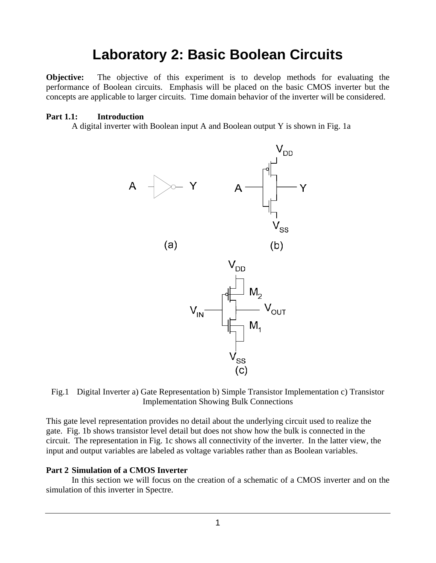# **Laboratory 2: Basic Boolean Circuits**

**Objective:** The objective of this experiment is to develop methods for evaluating the performance of Boolean circuits. Emphasis will be placed on the basic CMOS inverter but the concepts are applicable to larger circuits. Time domain behavior of the inverter will be considered.

#### **Part 1.1: Introduction**

A digital inverter with Boolean input A and Boolean output Y is shown in Fig. 1a





This gate level representation provides no detail about the underlying circuit used to realize the gate. Fig. 1b shows transistor level detail but does not show how the bulk is connected in the circuit. The representation in Fig. 1c shows all connectivity of the inverter. In the latter view, the input and output variables are labeled as voltage variables rather than as Boolean variables.

#### **Part 2 Simulation of a CMOS Inverter**

In this section we will focus on the creation of a schematic of a CMOS inverter and on the simulation of this inverter in Spectre.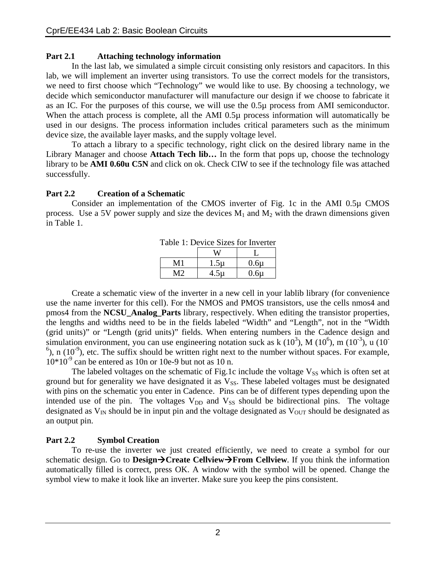#### **Part 2.1 Attaching technology information**

In the last lab, we simulated a simple circuit consisting only resistors and capacitors. In this lab, we will implement an inverter using transistors. To use the correct models for the transistors, we need to first choose which "Technology" we would like to use. By choosing a technology, we decide which semiconductor manufacturer will manufacture our design if we choose to fabricate it as an IC. For the purposes of this course, we will use the 0.5µ process from AMI semiconductor. When the attach process is complete, all the AMI 0.5µ process information will automatically be used in our designs. The process information includes critical parameters such as the minimum device size, the available layer masks, and the supply voltage level.

To attach a library to a specific technology, right click on the desired library name in the Library Manager and choose **Attach Tech lib…** In the form that pops up, choose the technology library to be **AMI 0.60u C5N** and click on ok. Check CIW to see if the technology file was attached successfully.

#### **Part 2.2 Creation of a Schematic**

 Consider an implementation of the CMOS inverter of Fig. 1c in the AMI 0.5µ CMOS process. Use a 5V power supply and size the devices  $M_1$  and  $M_2$  with the drawn dimensions given in Table 1.

| Tuoto II Dontoo biloo Tol III olioi |          |          |
|-------------------------------------|----------|----------|
|                                     |          |          |
| M 1                                 | $1.5\mu$ | $0.6\mu$ |
| ヽィつ                                 | $4.5\mu$ | $0.6\mu$ |

Table 1: Device Sizes for Inverter

Create a schematic view of the inverter in a new cell in your lablib library (for convenience use the name inverter for this cell). For the NMOS and PMOS transistors, use the cells nmos4 and pmos4 from the **NCSU\_Analog\_Parts** library, respectively. When editing the transistor properties, the lengths and widths need to be in the fields labeled "Width" and "Length", not in the "Width (grid units)" or "Length (grid units)" fields. When entering numbers in the Cadence design and simulation environment, you can use engineering notation suck as  $k(10^3)$ , M $(10^6)$ , m $(10^{-3})$ , u $(10^{-3})$  $^{6}$ ), n (10<sup>-9</sup>), etc. The suffix should be written right next to the number without spaces. For example,  $10*10<sup>-9</sup>$  can be entered as 10n or 10e-9 but not as 10 n.

The labeled voltages on the schematic of Fig.1c include the voltage  $V_{SS}$  which is often set at ground but for generality we have designated it as  $V_{SS}$ . These labeled voltages must be designated with pins on the schematic you enter in Cadence. Pins can be of different types depending upon the intended use of the pin. The voltages  $V_{DD}$  and  $V_{SS}$  should be bidirectional pins. The voltage designated as  $V_{IN}$  should be in input pin and the voltage designated as  $V_{OUT}$  should be designated as an output pin.

## **Part 2.2 Symbol Creation**

To re-use the inverter we just created efficiently, we need to create a symbol for our schematic design. Go to **Design→Create Cellview→From Cellview**. If you think the information automatically filled is correct, press OK. A window with the symbol will be opened. Change the symbol view to make it look like an inverter. Make sure you keep the pins consistent.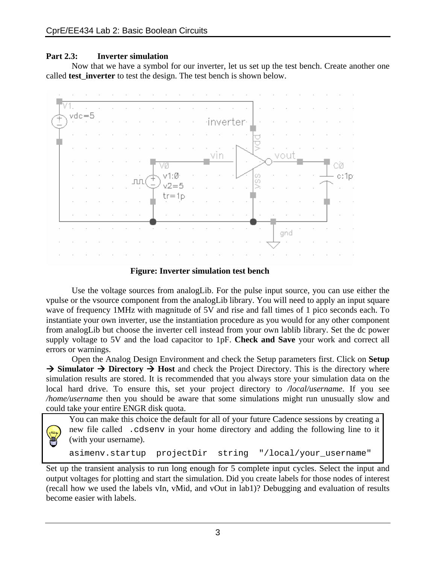#### **Part 2.3: Inverter simulation**

Now that we have a symbol for our inverter, let us set up the test bench. Create another one called **test**\_**inverter** to test the design. The test bench is shown below.



#### **Figure: Inverter simulation test bench**

Use the voltage sources from analogLib. For the pulse input source, you can use either the vpulse or the vsource component from the analogLib library. You will need to apply an input square wave of frequency 1MHz with magnitude of 5V and rise and fall times of 1 pico seconds each. To instantiate your own inverter, use the instantiation procedure as you would for any other component from analogLib but choose the inverter cell instead from your own lablib library. Set the dc power supply voltage to 5V and the load capacitor to 1pF. **Check and Save** your work and correct all errors or warnings.

Open the Analog Design Environment and check the Setup parameters first. Click on **Setup**   $\rightarrow$  Simulator  $\rightarrow$  Directory  $\rightarrow$  Host and check the Project Directory. This is the directory where simulation results are stored. It is recommended that you always store your simulation data on the local hard drive. To ensure this, set your project directory to */local/username*. If you see */home/username* then you should be aware that some simulations might run unusually slow and could take your entire ENGR disk quota.

You can make this choice the default for all of your future Cadence sessions by creating a new file called .cdsenv in your home directory and adding the following line to it (with your username).

```
asimenv.startup projectDir string "/local/your_username"
```
Set up the transient analysis to run long enough for 5 complete input cycles. Select the input and output voltages for plotting and start the simulation. Did you create labels for those nodes of interest (recall how we used the labels vIn, vMid, and vOut in lab1)? Debugging and evaluation of results become easier with labels.